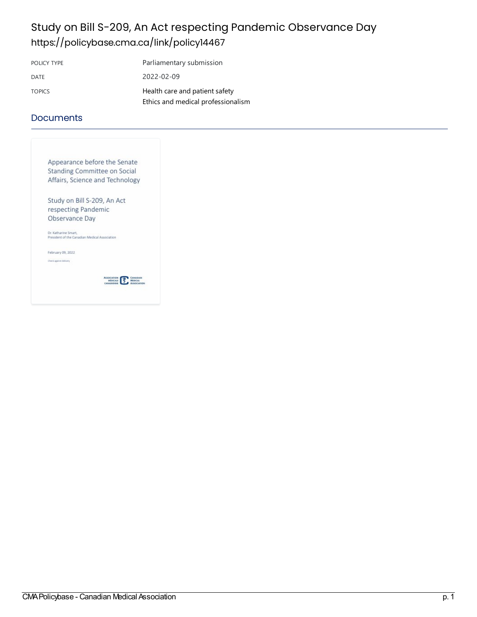# Study on Bill S-209, An Act respecting Pandemic Observance Day <https://policybase.cma.ca/link/policy14467>

| POLICY TYPE   | Parliamentary submission           |
|---------------|------------------------------------|
| DATE          | 2022-02-09                         |
| <b>TOPICS</b> | Health care and patient safety     |
|               | Ethics and medical professionalism |

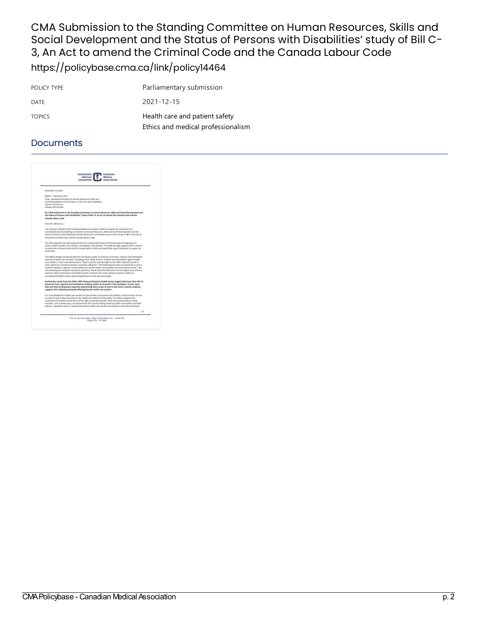CMA Submission to the Standing Committee on Human Resources, Skills and Social Development and the Status of Persons with Disabilities' study of Bill C-3, An Act to amend the Criminal Code and the Canada Labour Code <https://policybase.cma.ca/link/policy14464>

POLICY TYPE Parliamentary submission DATE 2021-12-15 TOPICS **Health care and patient safety** Ethics and medical [professionalism](https://policybase.cma.ca/list?q=topic%253A%2522Ethics%20and%20medical%20professionalism%2522&p=1&ps=&sort=title_sort%20asc)

### **Documents**



1410, pl. den tauen filmir / Étair Towers Prace, bur. I Suite 600 .<br> Critique ON: H1J 950 .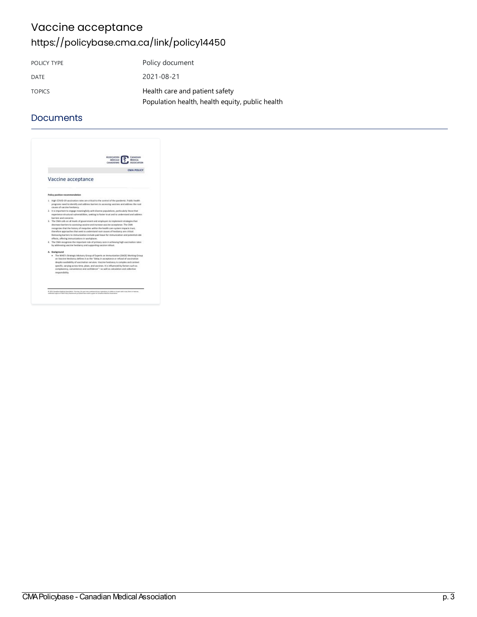## Vaccine acceptance <https://policybase.cma.ca/link/policy14450>

| POLICY TYPE   | Policy document                                 |
|---------------|-------------------------------------------------|
| DATE          | 2021-08-21                                      |
| <b>TOPICS</b> | Health care and patient safety                  |
|               | Population health, health equity, public health |

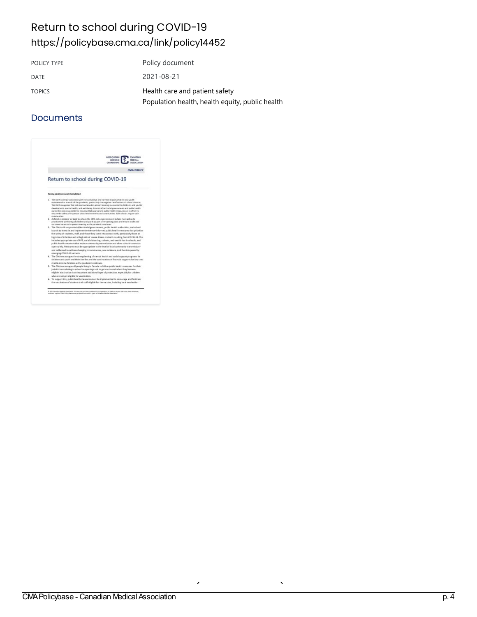## Return to school during COVID-19 <https://policybase.cma.ca/link/policy14452>

| POLICY TYPE   | Policy document                                 |
|---------------|-------------------------------------------------|
| DATE          | 2021-08-21                                      |
| <b>TOPICS</b> | Health care and patient safety                  |
|               | Population health, health equity, public health |

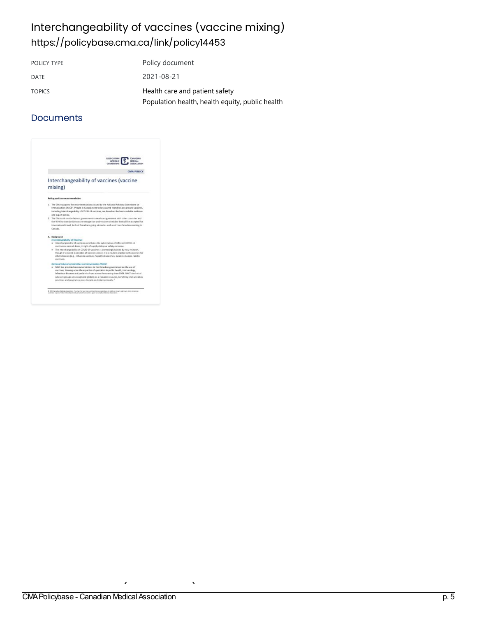# Interchangeability of vaccines (vaccine mixing) <https://policybase.cma.ca/link/policy14453>

POLICY TYPE Policy document DATE 2021-08-21 TOPICS **Health care and patient safety** [Population](https://policybase.cma.ca/list?q=topic%253A%2522Population%20health,%20health%20equity,%20public%20health%2522&p=1&ps=&sort=title_sort%20asc) health, health equity, public health

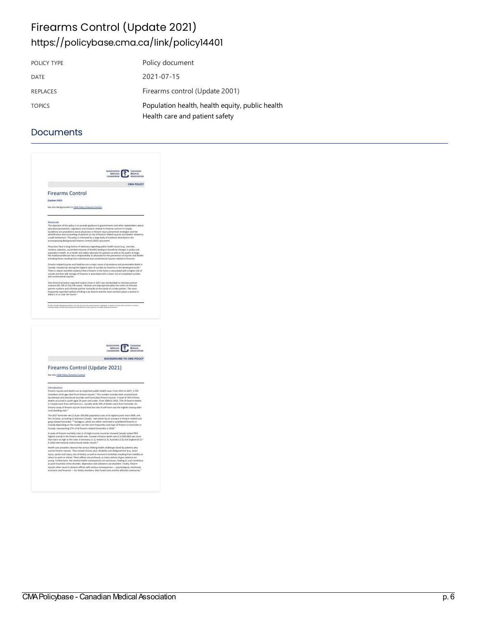## Firearms Control (Update 2021) <https://policybase.cma.ca/link/policy14401>

| POLICY TYPE     | Policy document                                                                   |
|-----------------|-----------------------------------------------------------------------------------|
| DATE            | 2021-07-15                                                                        |
| <b>REPLACES</b> | Firearms control (Update 2001)                                                    |
| <b>TOPICS</b>   | Population health, health equity, public health<br>Health care and patient safety |

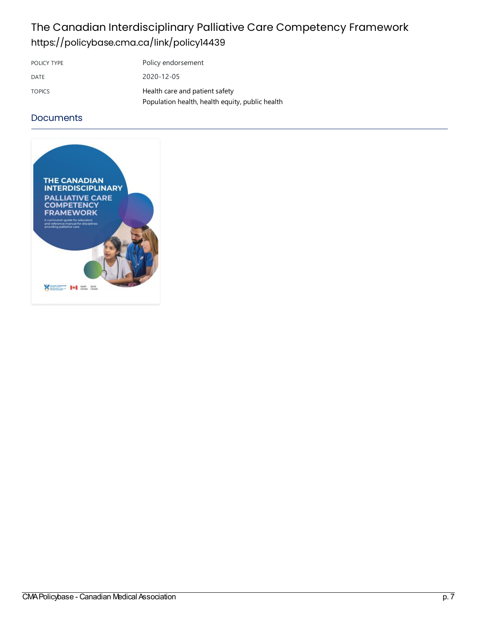# The Canadian Interdisciplinary Palliative Care Competency Framework <https://policybase.cma.ca/link/policy14439>

| POLICY TYPE   | Policy endorsement                                                                |
|---------------|-----------------------------------------------------------------------------------|
| DATE          | 2020-12-05                                                                        |
| <b>TOPICS</b> | Health care and patient safety<br>Population health, health equity, public health |

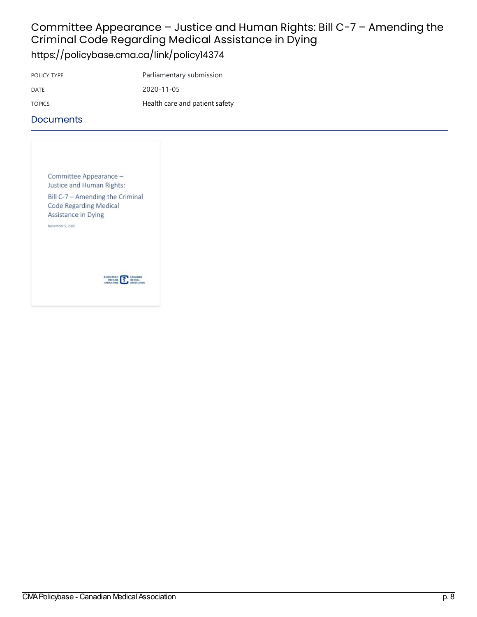### Committee Appearance - Justice and Human Rights: Bill C-7 - Amending the Criminal Code Regarding Medical Assistance in Dying <https://policybase.cma.ca/link/policy14374>

POLICY TYPE Parliamentary submission DATE 2020-11-05 TOPICS **Health care and patient safety** 

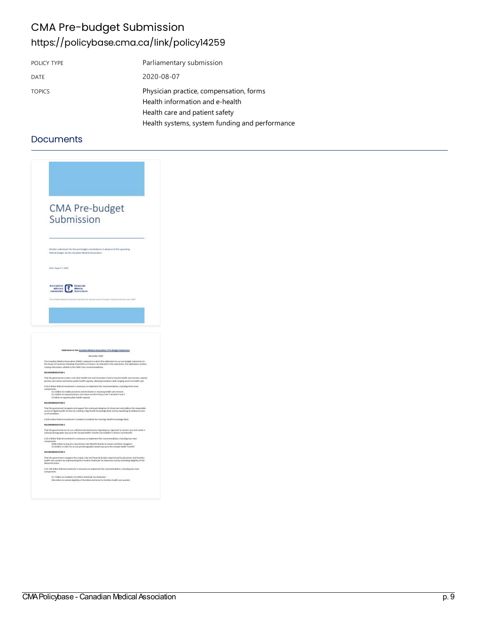## CMA Pre-budget Submission <https://policybase.cma.ca/link/policy14259>

| POLICY TYPE   | Parliamentary submission                                                                                     |
|---------------|--------------------------------------------------------------------------------------------------------------|
| <b>DATE</b>   | 2020-08-07                                                                                                   |
| <b>TOPICS</b> | Physician practice, compensation, forms<br>Health information and e-health<br>Health care and patient safety |
|               | Health systems, system funding and performance                                                               |

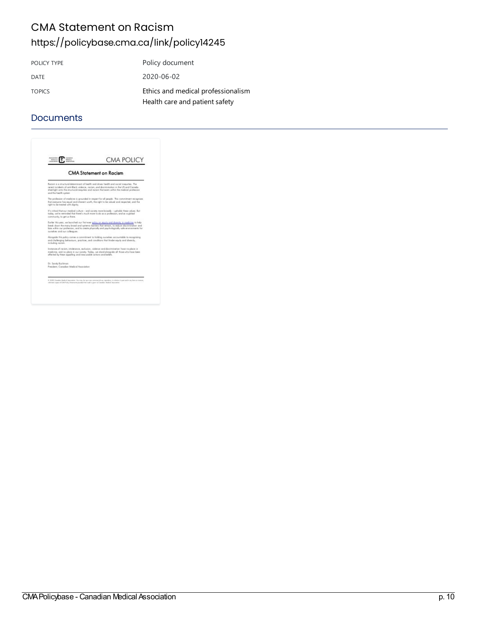## CMA Statement on Racism <https://policybase.cma.ca/link/policy14245>

| POLICY TYPE   | Policy document                    |
|---------------|------------------------------------|
| DATE          | 2020-06-02                         |
| <b>TOPICS</b> | Ethics and medical professionalism |
|               | Health care and patient safety     |

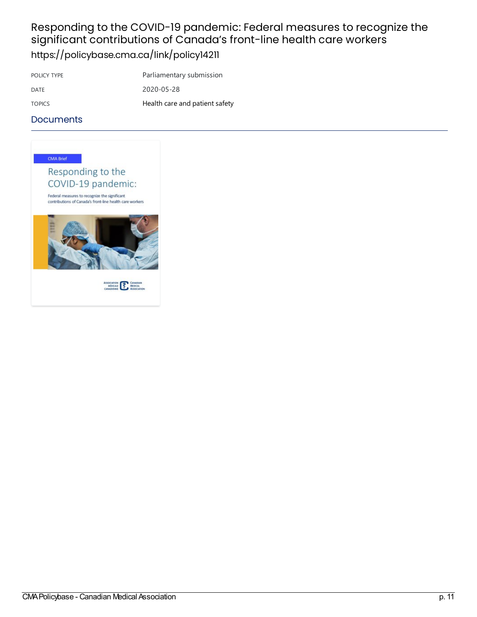## Responding to the COVID-19 pandemic: Federal measures to recognize the significant contributions of Canada's front-line health care workers <https://policybase.cma.ca/link/policy14211>

POLICY TYPE **PARTIA** Parliamentary submission DATE 2020-05-28 TOPICS TOPICS Health care and patient safety

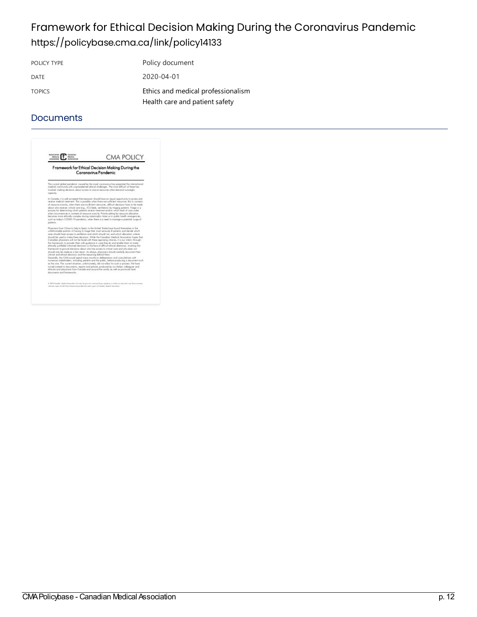## Framework for Ethical Decision Making During the Coronavirus Pandemic <https://policybase.cma.ca/link/policy14133>

POLICY TYPE Policy document DATE 2020-04-01 TOPICS Ethics and medical [professionalism](https://policybase.cma.ca/list?q=topic%253A%2522Ethics%20and%20medical%20professionalism%2522&p=1&ps=&sort=title_sort%20asc) Health care and patient safety

| Framework for Ethical Decision Making During the<br>Coronavirus Pandemic |                                                                                                                                                                                                                                                                                                                                                                                                                                                                                                                                                                                                                                                                                                                                                                                                                                                                                 |
|--------------------------------------------------------------------------|---------------------------------------------------------------------------------------------------------------------------------------------------------------------------------------------------------------------------------------------------------------------------------------------------------------------------------------------------------------------------------------------------------------------------------------------------------------------------------------------------------------------------------------------------------------------------------------------------------------------------------------------------------------------------------------------------------------------------------------------------------------------------------------------------------------------------------------------------------------------------------|
| casacity.                                                                | The current global pandemic caused by the novel conceptive has presented the interschional<br>medical continuativ with unprecedented ethical challenges. The report difficult of these has<br>involved moking decisions about access to spance resources when demand putweight.                                                                                                                                                                                                                                                                                                                                                                                                                                                                                                                                                                                                 |
| policents.                                                               | In Canada, it is well accepted that everyone should have an equal opportunity to access and<br>receive medical tractment. This is possible when there are sufficient resources. But in contexts<br>of necessors soperity, when there are insufficient resources, clifficult decisions howe to be mode-<br>about who receives critical case (e.g., ICU beds, wertlators) by Viceina patients. Triage is a<br>process for determining which potients receive treatment and/or which level of core under<br>what circumstances in contests of negasce econols. Priority-setting for resource allocation<br>becomes more ethically complex during catastrophic times or in public health emergencies,<br>such as today's CDWD-19 pandemic, when there is a need to manage a potential surge of                                                                                      |
| clinical and irthical decisions and the reasoning behind them.           | Physicians from China to Italy to Spain to the United States have found themselves in the<br>unforhomoble position of having to triage their most seriously ill potients and slecide which<br>press should have access to wertilizers and which should not, and which allocation criteria.<br>should be used to replacities a decisions. While the Canadian Medical Association hopes that<br>Consider physicians will not be faced with these agonizing choices, it is our intent, through<br>this hamework, to provide them with guidance in case they do and enable them to make<br>ethically justifiable informed decisions in the lace of difficult ethical dilemmas. Involving this<br>framework to ground decisions about who has access to critical care and who does not<br>should paik be mode as a last report. As always, alwaisians should consider document their |
| documents and frameworks.                                                | Generally, the CMA would spend many months in deliberations and consultations with<br>numerous stokeholders, including potients and the public, belone producing a document such.<br>as this cas. The current struction, unfortunately, did not allow for such a process. We have<br>turned instead to plocuments, reports and policies produced by our frailers colleagues and<br>ethiciate peal physiciate from Concello and pround the world, as well as provincial limel                                                                                                                                                                                                                                                                                                                                                                                                    |
|                                                                          | @ 2020 Canadan Medinal these inters. You may, he procreate commented into supplied as it which is no under and in any farm or manner.                                                                                                                                                                                                                                                                                                                                                                                                                                                                                                                                                                                                                                                                                                                                           |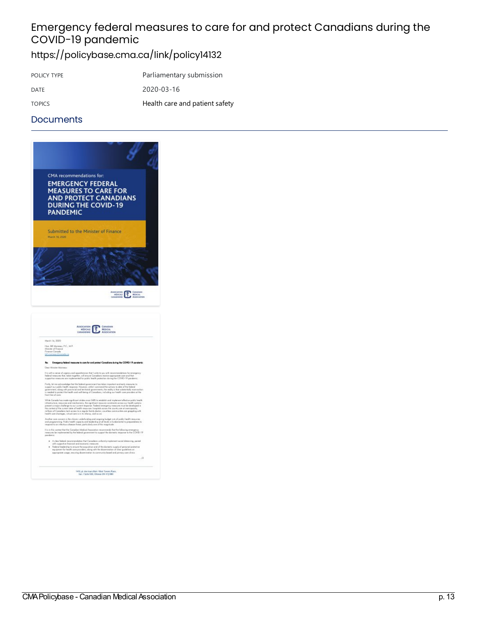# Emergency federal measures to care for and protect Canadians during the COVID-19 pandemic

# <https://policybase.cma.ca/link/policy14132>

| POLICY TYPE   | Parliamentary submission       |
|---------------|--------------------------------|
| DATE          | 2020-03-16                     |
| <b>TOPICS</b> | Health care and patient safety |

#### **Documents**



1410, pl. des tours Blair J'élair Towen Place.<br>bar. J'éalte 500, Ottaves ON KY 589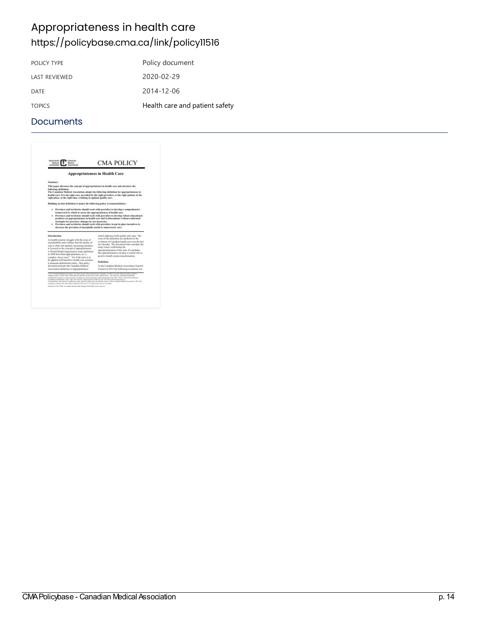# Appropriateness in health care <https://policybase.cma.ca/link/policy11516>

| Policy document                |
|--------------------------------|
| 2020-02-29                     |
| 2014-12-06                     |
| Health care and patient safety |
|                                |

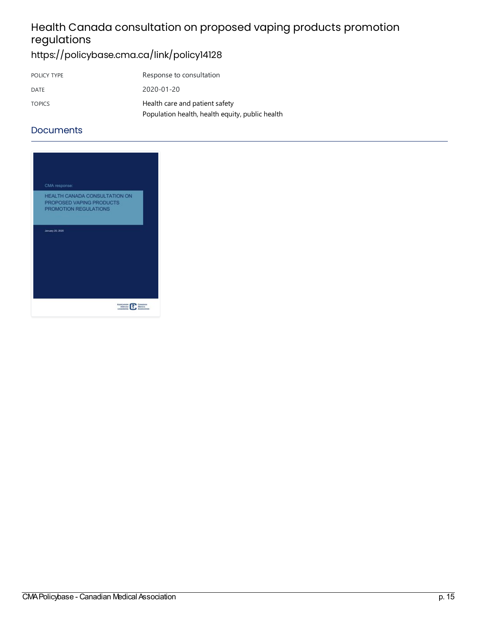# Health Canada consultation on proposed vaping products promotion regulations

# <https://policybase.cma.ca/link/policy14128>

| POLICY TYPE   | Response to consultation                        |
|---------------|-------------------------------------------------|
| DATE          | 2020-01-20                                      |
| <b>TOPICS</b> | Health care and patient safety                  |
|               | Population health, health equity, public health |

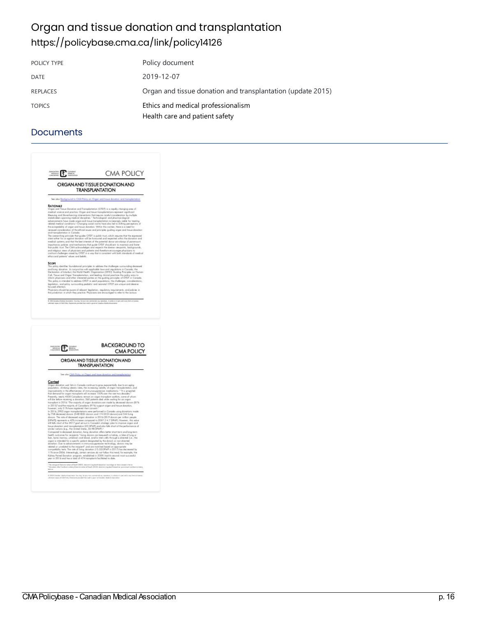## Organ and tissue donation and transplantation <https://policybase.cma.ca/link/policy14126>

| POLICY TYPE   | Policy document                                                      |
|---------------|----------------------------------------------------------------------|
| DATE          | 2019-12-07                                                           |
| REPLACES      | Organ and tissue donation and transplantation (update 2015)          |
| <b>TOPICS</b> | Ethics and medical professionalism<br>Health care and patient safety |

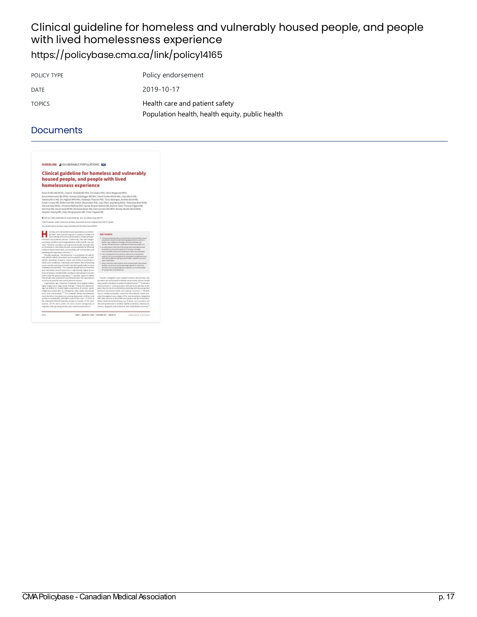## Clinical guideline for homeless and vulnerably housed people, and people with lived homelessness experience <https://policybase.cma.ca/link/policy14165>

| POLICY TYPE   | Policy endorsement                                                                |
|---------------|-----------------------------------------------------------------------------------|
| DATE          | 2019-10-17                                                                        |
| <b>TOPICS</b> | Health care and patient safety<br>Population health, health equity, public health |

| GUIDELINE = VULNERABLE POPULATIONS BEST                                                                                                                                                                                                                                                                                                                                                                                                                                                                                                                                         |                                                                                                                                                                                                                                                                                                                                                                                            |
|---------------------------------------------------------------------------------------------------------------------------------------------------------------------------------------------------------------------------------------------------------------------------------------------------------------------------------------------------------------------------------------------------------------------------------------------------------------------------------------------------------------------------------------------------------------------------------|--------------------------------------------------------------------------------------------------------------------------------------------------------------------------------------------------------------------------------------------------------------------------------------------------------------------------------------------------------------------------------------------|
| <b>Clinical guideline for homeless and vulnerably</b>                                                                                                                                                                                                                                                                                                                                                                                                                                                                                                                           |                                                                                                                                                                                                                                                                                                                                                                                            |
| housed people, and people with lived                                                                                                                                                                                                                                                                                                                                                                                                                                                                                                                                            |                                                                                                                                                                                                                                                                                                                                                                                            |
| homelessness experience                                                                                                                                                                                                                                                                                                                                                                                                                                                                                                                                                         |                                                                                                                                                                                                                                                                                                                                                                                            |
| Keyin Pattie IND INCISc, Claire E. Kendall MD PhD, Tim Askey PhD, Olivia Magwood MPk,                                                                                                                                                                                                                                                                                                                                                                                                                                                                                           |                                                                                                                                                                                                                                                                                                                                                                                            |
| Anno Andermann M3 5Phil, Ginetta Salcalaggio M3 MSc, David Ponka M3CM MSc, Gary Bloch M3,<br>Vae esta Brcic MS, Etic Agbata MPH HSc, Keckrapa Thawors PNS, Testy Hansigan, Andrew Bond HD,<br>Supan Cro ata HD, Ritika Gori HD, Esther Shaereaker PhD, Jean Zhuo Jing Wane BHSc, Sebastian Mart MSW.<br>Harneel Kaur BHSc. Christine Histinew MSc. Seeds Shanza Hashesi BA. Ammur Saud, Thorase Pigeott ND.<br>IVeil Arya MD, Nicola Kozlich MD, Michaela Beder HD, Dale Guerder MD RFH, Needy Muckle EScN RNA.<br>Shephon Huizing ND, Video Sheppiopoulos ND, Pater Tugwell HD |                                                                                                                                                                                                                                                                                                                                                                                            |
| City as CIRA/2020 Handi N H2 (240-54, doi: 10.15010) Hai 192777                                                                                                                                                                                                                                                                                                                                                                                                                                                                                                                 |                                                                                                                                                                                                                                                                                                                                                                                            |
| CMA/Productive auditors to be view at hill ps: (Associables of completes) resigned units/200777-guider                                                                                                                                                                                                                                                                                                                                                                                                                                                                          |                                                                                                                                                                                                                                                                                                                                                                                            |
| Tow educated activity of various armagina, handsapplistic 20.1533 V map 203 200                                                                                                                                                                                                                                                                                                                                                                                                                                                                                                 |                                                                                                                                                                                                                                                                                                                                                                                            |
| ameless and culverably brased sepulations are liables-<br>gavesure and continue to grow in reaminers in orient and<br>rusal sellings as hours of a handadon callabs saids gas-                                                                                                                                                                                                                                                                                                                                                                                                  | <b><i>NEY POINTS</i></b><br>. Clinical generoment producer of homelines analysismodels because                                                                                                                                                                                                                                                                                             |
| tallastics and australy automo- Collecture), they have danger-<br>sus listing conditions and manipulization within boolth care cyc-<br>tents." Nowman, providers can improve the bookbook programme<br>are bured rec or rainwoldy bouned, wont poses fully by following<br>evidence fusual initial steps, and enclose with communities and                                                                                                                                                                                                                                      | prepolations when hit reducts tailoring approve function personnel<br>beywardians photosis, apatrad associated operations<br>inaunta, and adversary for compositions are primary boalth care.<br>4. As initial states in the same of bornings and extractedly because<br>propolations, promotered exposition/housing is nitronally<br>resonancial, and notes as answers in the scoremented |
| admission grand compensation promission, 222<br>Recally conduct. "Autorisources" encampages all individ-<br>sals without stable, preseased and assessiable hoasing, or lask-<br>ing the introducte prospect, means and ability of acquiting (1).                                                                                                                                                                                                                                                                                                                                | 4 Cass in analyzimum interventions, with an exact to pophone in<br>wastern, and in appearance and contained and compared and many<br>kery and its address related in many problems on index of knowing<br>niker madelalides.                                                                                                                                                               |
| Under such canditions, individuals and families face interanting<br>social, recent and physical booth risks that significantly increase<br>meeting in and not table. " For manuale, jumple who are homesters<br>and valvasable haspend momentum a standinardly higher preva-                                                                                                                                                                                                                                                                                                    | · Harristelection interventions, such as supervised conservation<br>dedition, and a restricted target adaptation for a positive of<br>alwarder, with an option agreed transierent, and excellent maked<br>for people who any substances.                                                                                                                                                   |
| less e al bauma, merdal l'esdèvrientitiers and solitiare e use de-<br>andors than the growed population. <sup>13</sup> Canadian research reports<br>that people who experience boorsteamers face life experiances.<br>as branas 41 gears for now and 12 pears for success'."<br>il generation ago, baseriera Canadians saver largely middle-<br>aged, single avenue large when articopy." Today, the epidemiol-                                                                                                                                                                 | Purche spinishes, over capacity writers and piecesy care<br>providers are well placed to identify social causes of your brailly.<br>and provide a test latins to pole of everload homes." "Apatient's<br>residual homes in "a facely practice defined by its patients as the                                                                                                               |
| agy has shifted to include higher proportions of monen, youth,<br>indeptions people (Box 11, interprets, older adults and people<br>from rand communities." <sup>164</sup> For example, family harmfressmen<br>Gend Unnieftere Foreceferoarens among slepenshed stubboes and<br>youth) is a substantial, pri hidden, part of the triva. 5 In 2016, of                                                                                                                                                                                                                           | place they feel must corole table presenting and chocasting their<br>personal and limity braths and reeding raceros " Medical<br>case is "maddy ascreation, central art the patients' ments, pre-<br>valed throughout mory stage of Me, and anothrody integrated<br>with sides sensors in the bandivasce system and the consecueity"                                                       |
| the extended 215/000 learnitess propin in Canada, 27.3% were<br>nearest. 18.7% more peals. 5% more record investments or<br>migrants, and a gruning mander generationers and tenton."                                                                                                                                                                                                                                                                                                                                                                                           | Milen Custine in a cardinal home cal. Primary care providers are<br>also sell positioned to mobilize bodds premition, disease pre-<br>vention, slagsurals and breatment, and rebalolitation services."                                                                                                                                                                                     |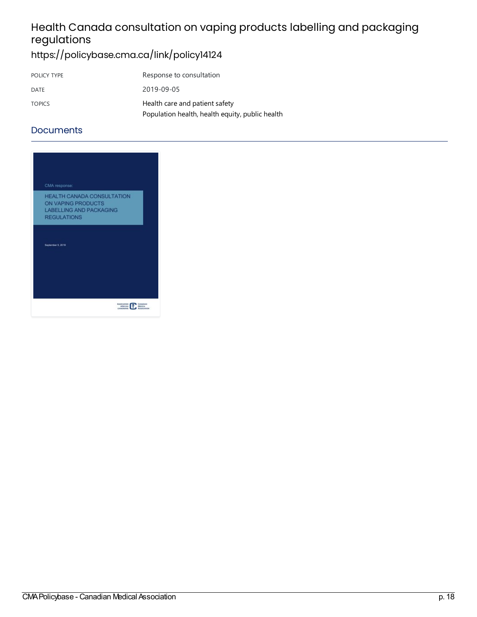# Health Canada consultation on vaping products labelling and packaging regulations

# <https://policybase.cma.ca/link/policy14124>

| POLICY TYPE   | Response to consultation                        |
|---------------|-------------------------------------------------|
| DATE          | 2019-09-05                                      |
| <b>TOPICS</b> | Health care and patient safety                  |
|               | Population health, health equity, public health |

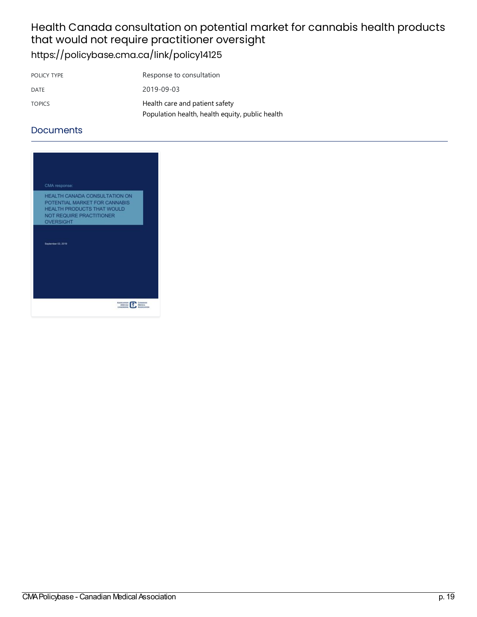### Health Canada consultation on potential market for cannabis health products that would not require practitioner oversight <https://policybase.cma.ca/link/policy14125>

| POLICY TYPE   | Response to consultation                        |
|---------------|-------------------------------------------------|
| DATE          | 2019-09-03                                      |
| <b>TOPICS</b> | Health care and patient safety                  |
|               | Population health, health equity, public health |